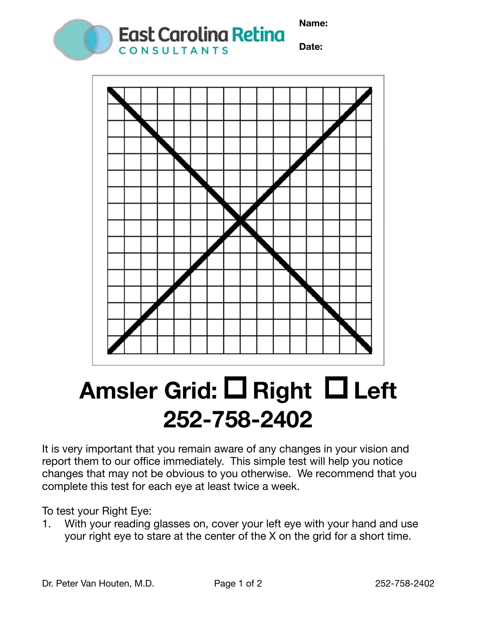**Name:** 





## Amsler Grid: □ Right □ Left **252-758-2402**

It is very important that you remain aware of any changes in your vision and report them to our office immediately. This simple test will help you notice changes that may not be obvious to you otherwise. We recommend that you complete this test for each eye at least twice a week.

To test your Right Eye:

1. With your reading glasses on, cover your left eye with your hand and use your right eye to stare at the center of the X on the grid for a short time.